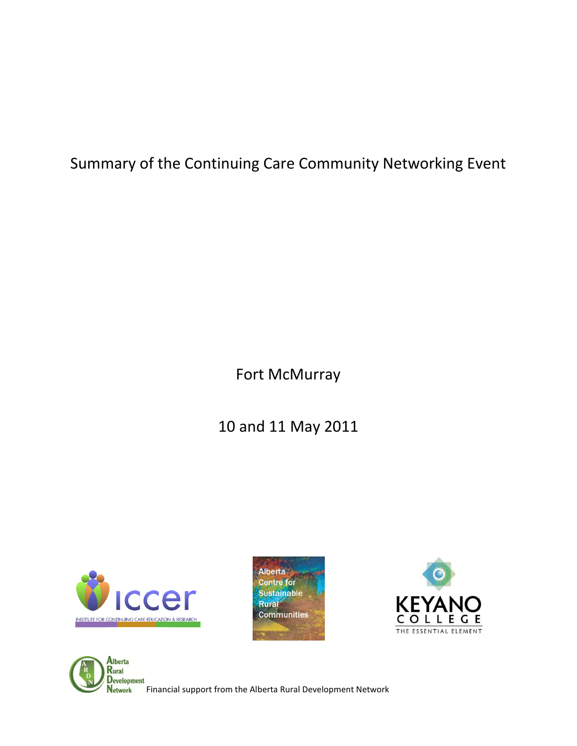Summary of the Continuing Care Community Networking Event

Fort McMurray

10 and 11 May 2011







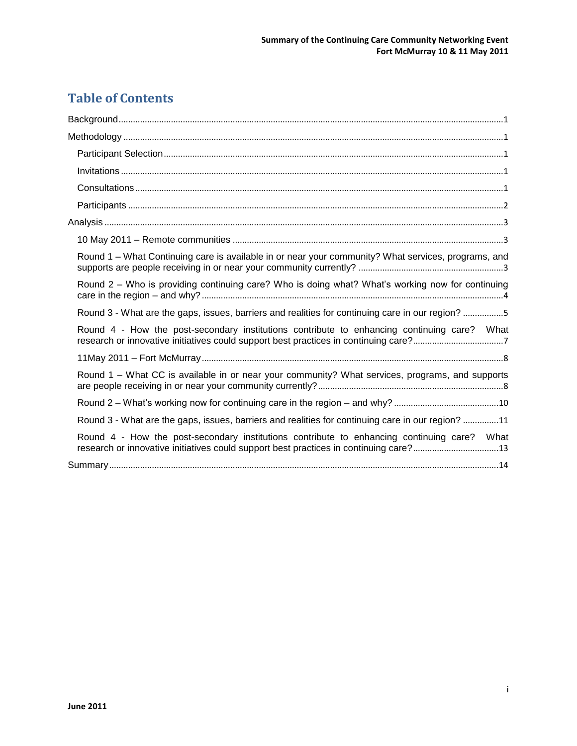# **Table of Contents**

| Round 1 - What Continuing care is available in or near your community? What services, programs, and                                                                                  |
|--------------------------------------------------------------------------------------------------------------------------------------------------------------------------------------|
| Round 2 - Who is providing continuing care? Who is doing what? What's working now for continuing                                                                                     |
| Round 3 - What are the gaps, issues, barriers and realities for continuing care in our region? 5                                                                                     |
| Round 4 - How the post-secondary institutions contribute to enhancing continuing care? What                                                                                          |
|                                                                                                                                                                                      |
| Round 1 - What CC is available in or near your community? What services, programs, and supports                                                                                      |
|                                                                                                                                                                                      |
| Round 3 - What are the gaps, issues, barriers and realities for continuing care in our region? 11                                                                                    |
| Round 4 - How the post-secondary institutions contribute to enhancing continuing care? What<br>research or innovative initiatives could support best practices in continuing care?13 |
|                                                                                                                                                                                      |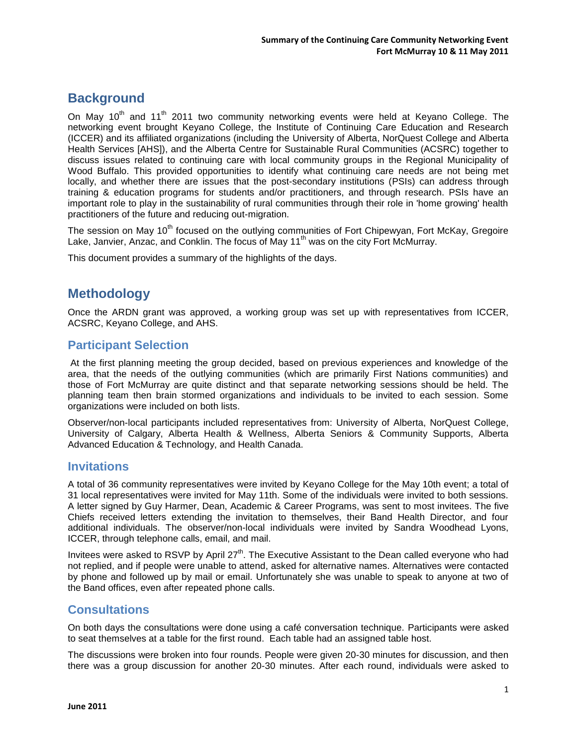# <span id="page-2-0"></span>**Background**

On May  $10^{th}$  and  $11^{th}$  2011 two community networking events were held at Keyano College. The networking event brought Keyano College, the Institute of Continuing Care Education and Research (ICCER) and its affiliated organizations (including the University of Alberta, NorQuest College and Alberta Health Services [AHS]), and the Alberta Centre for Sustainable Rural Communities (ACSRC) together to discuss issues related to continuing care with local community groups in the Regional Municipality of Wood Buffalo. This provided opportunities to identify what continuing care needs are not being met locally, and whether there are issues that the post-secondary institutions (PSIs) can address through training & education programs for students and/or practitioners, and through research. PSIs have an important role to play in the sustainability of rural communities through their role in 'home growing' health practitioners of the future and reducing out-migration.

The session on May 10<sup>th</sup> focused on the outlying communities of Fort Chipewyan, Fort McKay, Gregoire Lake, Janvier, Anzac, and Conklin. The focus of May  $11<sup>th</sup>$  was on the city Fort McMurray.

<span id="page-2-1"></span>This document provides a summary of the highlights of the days.

## **Methodology**

Once the ARDN grant was approved, a working group was set up with representatives from ICCER, ACSRC, Keyano College, and AHS.

#### <span id="page-2-2"></span>**Participant Selection**

At the first planning meeting the group decided, based on previous experiences and knowledge of the area, that the needs of the outlying communities (which are primarily First Nations communities) and those of Fort McMurray are quite distinct and that separate networking sessions should be held. The planning team then brain stormed organizations and individuals to be invited to each session. Some organizations were included on both lists.

Observer/non-local participants included representatives from: University of Alberta, NorQuest College, University of Calgary, Alberta Health & Wellness, Alberta Seniors & Community Supports, Alberta Advanced Education & Technology, and Health Canada.

#### <span id="page-2-3"></span>**Invitations**

A total of 36 community representatives were invited by Keyano College for the May 10th event; a total of 31 local representatives were invited for May 11th. Some of the individuals were invited to both sessions. A letter signed by Guy Harmer, Dean, Academic & Career Programs, was sent to most invitees. The five Chiefs received letters extending the invitation to themselves, their Band Health Director, and four additional individuals. The observer/non-local individuals were invited by Sandra Woodhead Lyons, ICCER, through telephone calls, email, and mail.

Invitees were asked to RSVP by April 27<sup>th</sup>. The Executive Assistant to the Dean called everyone who had not replied, and if people were unable to attend, asked for alternative names. Alternatives were contacted by phone and followed up by mail or email. Unfortunately she was unable to speak to anyone at two of the Band offices, even after repeated phone calls.

#### <span id="page-2-4"></span>**Consultations**

On both days the consultations were done using a café conversation technique. Participants were asked to seat themselves at a table for the first round. Each table had an assigned table host.

The discussions were broken into four rounds. People were given 20-30 minutes for discussion, and then there was a group discussion for another 20-30 minutes. After each round, individuals were asked to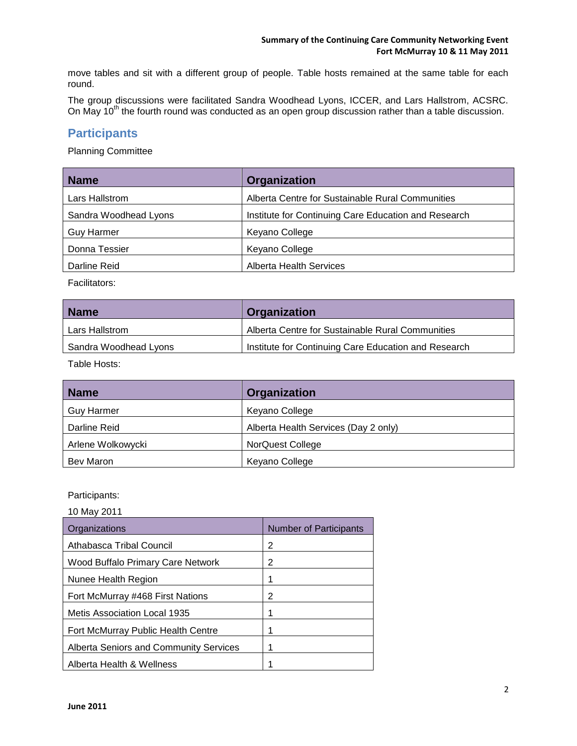move tables and sit with a different group of people. Table hosts remained at the same table for each round.

The group discussions were facilitated Sandra Woodhead Lyons, ICCER, and Lars Hallstrom, ACSRC. On May  $10^{th}$  the fourth round was conducted as an open group discussion rather than a table discussion.

### <span id="page-3-0"></span>**Participants**

Planning Committee

| <b>Name</b>           | Organization                                         |
|-----------------------|------------------------------------------------------|
| Lars Hallstrom        | Alberta Centre for Sustainable Rural Communities     |
| Sandra Woodhead Lyons | Institute for Continuing Care Education and Research |
| <b>Guy Harmer</b>     | Keyano College                                       |
| Donna Tessier         | Keyano College                                       |
| Darline Reid          | <b>Alberta Health Services</b>                       |

Facilitators:

| <b>Name</b>           | <b>Organization</b>                                  |
|-----------------------|------------------------------------------------------|
| Lars Hallstrom        | Alberta Centre for Sustainable Rural Communities     |
| Sandra Woodhead Lyons | Institute for Continuing Care Education and Research |

Table Hosts:

| <b>Name</b>       | Organization                         |
|-------------------|--------------------------------------|
| <b>Guy Harmer</b> | Keyano College                       |
| Darline Reid      | Alberta Health Services (Day 2 only) |
| Arlene Wolkowycki | NorQuest College                     |
| Bev Maron         | Keyano College                       |

Participants:

10 May 2011

| Organizations                                 | <b>Number of Participants</b> |
|-----------------------------------------------|-------------------------------|
| Athabasca Tribal Council                      | 2                             |
| <b>Wood Buffalo Primary Care Network</b>      | 2                             |
| Nunee Health Region                           | 1                             |
| Fort McMurray #468 First Nations              | 2                             |
| Metis Association Local 1935                  | 1                             |
| Fort McMurray Public Health Centre            |                               |
| <b>Alberta Seniors and Community Services</b> |                               |
| Alberta Health & Wellness                     |                               |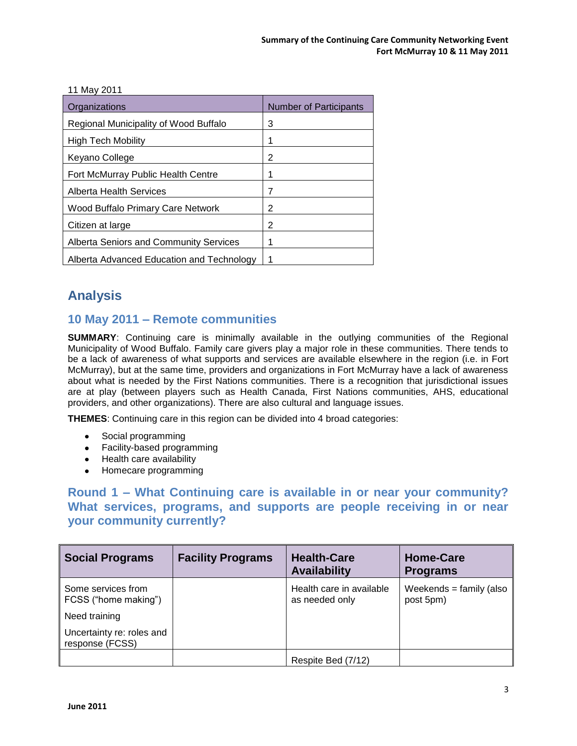| <b>IIIWIAY ∠∪II</b>                           |                               |
|-----------------------------------------------|-------------------------------|
| Organizations                                 | <b>Number of Participants</b> |
| Regional Municipality of Wood Buffalo         | 3                             |
| High Tech Mobility                            |                               |
| Keyano College                                | 2                             |
| Fort McMurray Public Health Centre            |                               |
| Alberta Health Services                       | 7                             |
| Wood Buffalo Primary Care Network             | 2                             |
| Citizen at large                              | 2                             |
| <b>Alberta Seniors and Community Services</b> |                               |
| Alberta Advanced Education and Technology     |                               |

# <span id="page-4-0"></span>**Analysis**

11 May 2011

## <span id="page-4-1"></span>**10 May 2011 – Remote communities**

**SUMMARY**: Continuing care is minimally available in the outlying communities of the Regional Municipality of Wood Buffalo. Family care givers play a major role in these communities. There tends to be a lack of awareness of what supports and services are available elsewhere in the region (i.e. in Fort McMurray), but at the same time, providers and organizations in Fort McMurray have a lack of awareness about what is needed by the First Nations communities. There is a recognition that jurisdictional issues are at play (between players such as Health Canada, First Nations communities, AHS, educational providers, and other organizations). There are also cultural and language issues.

**THEMES**: Continuing care in this region can be divided into 4 broad categories:

- Social programming
- Facility-based programming
- Health care availability
- Homecare programming

## <span id="page-4-2"></span>**Round 1 – What Continuing care is available in or near your community? What services, programs, and supports are people receiving in or near your community currently?**

| <b>Social Programs</b>                       | <b>Facility Programs</b> | <b>Health-Care</b><br><b>Availability</b>  | <b>Home-Care</b><br><b>Programs</b>     |
|----------------------------------------------|--------------------------|--------------------------------------------|-----------------------------------------|
| Some services from<br>FCSS ("home making")   |                          | Health care in available<br>as needed only | Weekends = $f$ amily (also<br>post 5pm) |
| Need training                                |                          |                                            |                                         |
| Uncertainty re: roles and<br>response (FCSS) |                          |                                            |                                         |
|                                              |                          | Respite Bed (7/12)                         |                                         |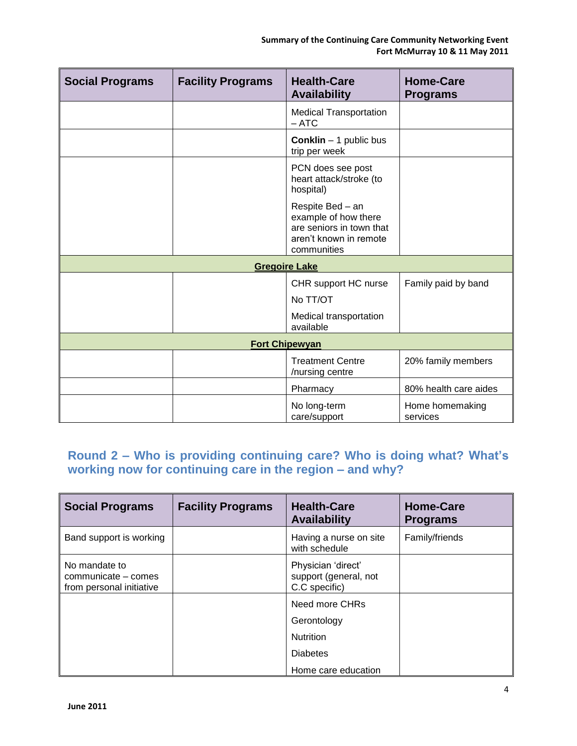| <b>Social Programs</b> | <b>Facility Programs</b> | <b>Health-Care</b><br><b>Availability</b>                                                                     | <b>Home-Care</b><br><b>Programs</b> |
|------------------------|--------------------------|---------------------------------------------------------------------------------------------------------------|-------------------------------------|
|                        |                          | <b>Medical Transportation</b><br>$-$ ATC                                                                      |                                     |
|                        |                          | <b>Conklin</b> - 1 public bus<br>trip per week                                                                |                                     |
|                        |                          | PCN does see post<br>heart attack/stroke (to<br>hospital)                                                     |                                     |
|                        |                          | Respite Bed - an<br>example of how there<br>are seniors in town that<br>aren't known in remote<br>communities |                                     |
|                        |                          | <b>Gregoire Lake</b>                                                                                          |                                     |
|                        |                          | CHR support HC nurse<br>No TT/OT                                                                              | Family paid by band                 |
|                        |                          | Medical transportation<br>available                                                                           |                                     |
|                        |                          | <b>Fort Chipewyan</b>                                                                                         |                                     |
|                        |                          | <b>Treatment Centre</b><br>/nursing centre                                                                    | 20% family members                  |
|                        |                          | Pharmacy                                                                                                      | 80% health care aides               |
|                        |                          | No long-term<br>care/support                                                                                  | Home homemaking<br>services         |

# <span id="page-5-0"></span>**Round 2 – Who is providing continuing care? Who is doing what? What's working now for continuing care in the region – and why?**

| <b>Social Programs</b>                                           | <b>Facility Programs</b> | <b>Health-Care</b><br><b>Availability</b>                    | <b>Home-Care</b><br><b>Programs</b> |
|------------------------------------------------------------------|--------------------------|--------------------------------------------------------------|-------------------------------------|
| Band support is working                                          |                          | Having a nurse on site<br>with schedule                      | Family/friends                      |
| No mandate to<br>communicate – comes<br>from personal initiative |                          | Physician 'direct'<br>support (general, not<br>C.C specific) |                                     |
|                                                                  |                          | Need more CHRs                                               |                                     |
|                                                                  |                          | Gerontology                                                  |                                     |
|                                                                  |                          | <b>Nutrition</b>                                             |                                     |
|                                                                  |                          | <b>Diabetes</b>                                              |                                     |
|                                                                  |                          | Home care education                                          |                                     |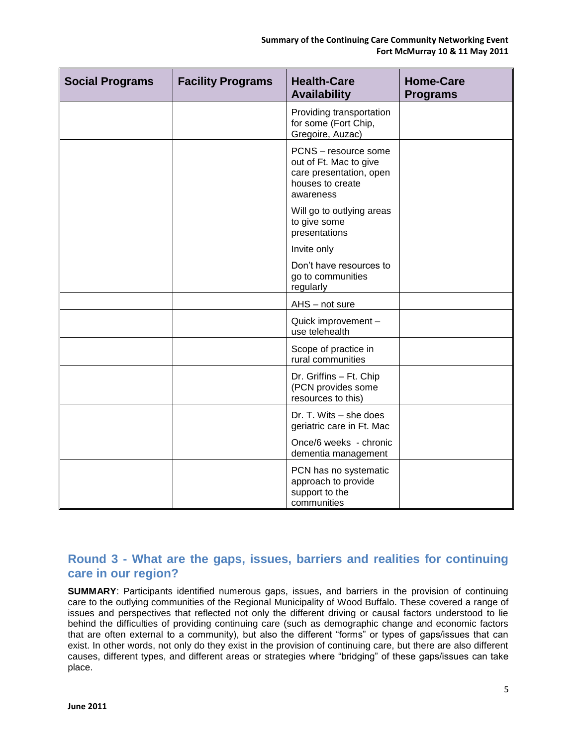| <b>Social Programs</b> | <b>Facility Programs</b> | <b>Health-Care</b><br><b>Availability</b>                                                                  | <b>Home-Care</b><br><b>Programs</b> |
|------------------------|--------------------------|------------------------------------------------------------------------------------------------------------|-------------------------------------|
|                        |                          | Providing transportation<br>for some (Fort Chip,<br>Gregoire, Auzac)                                       |                                     |
|                        |                          | PCNS - resource some<br>out of Ft. Mac to give<br>care presentation, open<br>houses to create<br>awareness |                                     |
|                        |                          | Will go to outlying areas<br>to give some<br>presentations                                                 |                                     |
|                        |                          | Invite only                                                                                                |                                     |
|                        |                          | Don't have resources to<br>go to communities<br>regularly                                                  |                                     |
|                        |                          | AHS - not sure                                                                                             |                                     |
|                        |                          | Quick improvement -<br>use telehealth                                                                      |                                     |
|                        |                          | Scope of practice in<br>rural communities                                                                  |                                     |
|                        |                          | Dr. Griffins - Ft. Chip<br>(PCN provides some<br>resources to this)                                        |                                     |
|                        |                          | Dr. T. Wits - she does<br>geriatric care in Ft. Mac                                                        |                                     |
|                        |                          | Once/6 weeks - chronic<br>dementia management                                                              |                                     |
|                        |                          | PCN has no systematic<br>approach to provide<br>support to the<br>communities                              |                                     |

### <span id="page-6-0"></span>**Round 3 - What are the gaps, issues, barriers and realities for continuing care in our region?**

**SUMMARY**: Participants identified numerous gaps, issues, and barriers in the provision of continuing care to the outlying communities of the Regional Municipality of Wood Buffalo. These covered a range of issues and perspectives that reflected not only the different driving or causal factors understood to lie behind the difficulties of providing continuing care (such as demographic change and economic factors that are often external to a community), but also the different "forms" or types of gaps/issues that can exist. In other words, not only do they exist in the provision of continuing care, but there are also different causes, different types, and different areas or strategies where "bridging" of these gaps/issues can take place.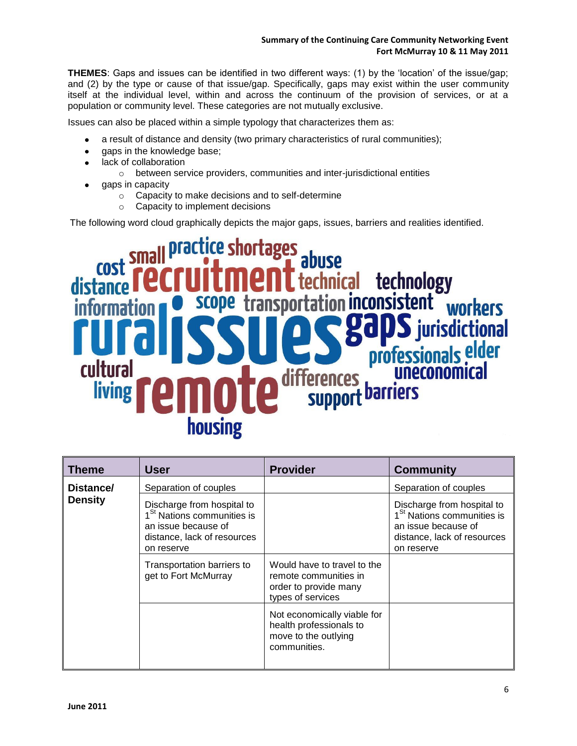**THEMES**: Gaps and issues can be identified in two different ways: (1) by the "location" of the issue/gap; and (2) by the type or cause of that issue/gap. Specifically, gaps may exist within the user community itself at the individual level, within and across the continuum of the provision of services, or at a population or community level. These categories are not mutually exclusive.

Issues can also be placed within a simple typology that characterizes them as:

- a result of distance and density (two primary characteristics of rural communities);  $\bullet$
- gaps in the knowledge base;  $\bullet$
- lack of collaboration  $\bullet$ 
	- o between service providers, communities and inter-jurisdictional entities
- gaps in capacity
	- o Capacity to make decisions and to self-determine
	- o Capacity to implement decisions

The following word cloud graphically depicts the major gaps, issues, barriers and realities identified.

# technology ล **CONSI** Istent **SCO** tional elder **Dro** cultura living **barriers SUDDO** housing

| <b>Theme</b>   | <b>User</b>                                                                                                                              | <b>Provider</b>                                                                                    | <b>Community</b>                                                                                                                         |
|----------------|------------------------------------------------------------------------------------------------------------------------------------------|----------------------------------------------------------------------------------------------------|------------------------------------------------------------------------------------------------------------------------------------------|
| Distance/      | Separation of couples                                                                                                                    |                                                                                                    | Separation of couples                                                                                                                    |
| <b>Density</b> | Discharge from hospital to<br>1 <sup>St</sup> Nations communities is<br>an issue because of<br>distance, lack of resources<br>on reserve |                                                                                                    | Discharge from hospital to<br>1 <sup>St</sup> Nations communities is<br>an issue because of<br>distance, lack of resources<br>on reserve |
|                | Transportation barriers to<br>get to Fort McMurray                                                                                       | Would have to travel to the<br>remote communities in<br>order to provide many<br>types of services |                                                                                                                                          |
|                |                                                                                                                                          | Not economically viable for<br>health professionals to<br>move to the outlying<br>communities.     |                                                                                                                                          |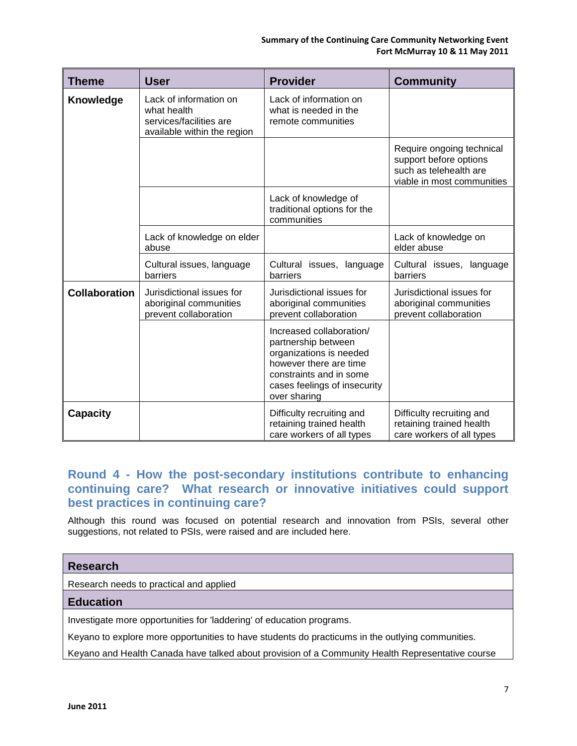#### **Summary of the Continuing Care Community Networking Event Fort McMurray 10 & 11 May 2011**

| Theme                | <b>User</b>                                                                                     | <b>Provider</b>                                                                                                                                                                 | <b>Community</b>                                                                                            |
|----------------------|-------------------------------------------------------------------------------------------------|---------------------------------------------------------------------------------------------------------------------------------------------------------------------------------|-------------------------------------------------------------------------------------------------------------|
| <b>Knowledge</b>     | Lack of information on<br>what health<br>services/facilities are<br>available within the region | Lack of information on<br>what is needed in the<br>remote communities                                                                                                           |                                                                                                             |
|                      |                                                                                                 |                                                                                                                                                                                 | Require ongoing technical<br>support before options<br>such as telehealth are<br>viable in most communities |
|                      |                                                                                                 | Lack of knowledge of<br>traditional options for the<br>communities                                                                                                              |                                                                                                             |
|                      | Lack of knowledge on elder<br>abuse                                                             |                                                                                                                                                                                 | Lack of knowledge on<br>elder abuse                                                                         |
|                      | Cultural issues, language<br>barriers                                                           | Cultural issues, language<br>barriers                                                                                                                                           | Cultural issues, language<br>barriers                                                                       |
| <b>Collaboration</b> | Jurisdictional issues for<br>aboriginal communities<br>prevent collaboration                    | Jurisdictional issues for<br>aboriginal communities<br>prevent collaboration                                                                                                    | Jurisdictional issues for<br>aboriginal communities<br>prevent collaboration                                |
|                      |                                                                                                 | Increased collaboration/<br>partnership between<br>organizations is needed<br>however there are time<br>constraints and in some<br>cases feelings of insecurity<br>over sharing |                                                                                                             |
| <b>Capacity</b>      |                                                                                                 | Difficulty recruiting and<br>retaining trained health<br>care workers of all types                                                                                              | Difficulty recruiting and<br>retaining trained health<br>care workers of all types                          |

### <span id="page-8-0"></span>**Round 4 - How the post-secondary institutions contribute to enhancing continuing care? What research or innovative initiatives could support best practices in continuing care?**

Although this round was focused on potential research and innovation from PSIs, several other suggestions, not related to PSIs, were raised and are included here.

| <b>Research</b>                                                                                  |
|--------------------------------------------------------------------------------------------------|
| Research needs to practical and applied                                                          |
| <b>Education</b>                                                                                 |
| Investigate more opportunities for 'laddering' of education programs.                            |
| Keyano to explore more opportunities to have students do practicums in the outlying communities. |
|                                                                                                  |

Keyano and Health Canada have talked about provision of a Community Health Representative course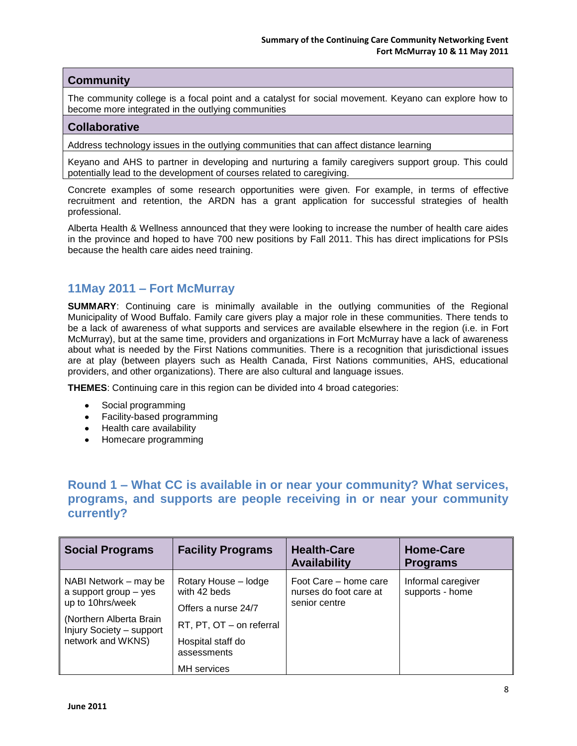#### **Community**

The community college is a focal point and a catalyst for social movement. Keyano can explore how to become more integrated in the outlying communities

#### **Collaborative**

Address technology issues in the outlying communities that can affect distance learning

Keyano and AHS to partner in developing and nurturing a family caregivers support group. This could potentially lead to the development of courses related to caregiving.

Concrete examples of some research opportunities were given. For example, in terms of effective recruitment and retention, the ARDN has a grant application for successful strategies of health professional.

Alberta Health & Wellness announced that they were looking to increase the number of health care aides in the province and hoped to have 700 new positions by Fall 2011. This has direct implications for PSIs because the health care aides need training.

#### <span id="page-9-0"></span>**11May 2011 – Fort McMurray**

**SUMMARY**: Continuing care is minimally available in the outlying communities of the Regional Municipality of Wood Buffalo. Family care givers play a major role in these communities. There tends to be a lack of awareness of what supports and services are available elsewhere in the region (i.e. in Fort McMurray), but at the same time, providers and organizations in Fort McMurray have a lack of awareness about what is needed by the First Nations communities. There is a recognition that jurisdictional issues are at play (between players such as Health Canada, First Nations communities, AHS, educational providers, and other organizations). There are also cultural and language issues.

**THEMES**: Continuing care in this region can be divided into 4 broad categories:

- Social programming
- Facility-based programming
- Health care availability
- Homecare programming

### <span id="page-9-1"></span>**Round 1 – What CC is available in or near your community? What services, programs, and supports are people receiving in or near your community currently?**

| <b>Social Programs</b>                                                                                                                         | <b>Facility Programs</b>                                                                                                    | <b>Health-Care</b><br><b>Availability</b>                        | <b>Home-Care</b><br><b>Programs</b>   |
|------------------------------------------------------------------------------------------------------------------------------------------------|-----------------------------------------------------------------------------------------------------------------------------|------------------------------------------------------------------|---------------------------------------|
| NABI Network – may be<br>a support group – yes<br>up to 10hrs/week<br>(Northern Alberta Brain<br>Injury Society - support<br>network and WKNS) | Rotary House - lodge<br>with 42 beds<br>Offers a nurse 24/7<br>RT, PT, OT - on referral<br>Hospital staff do<br>assessments | Foot Care – home care<br>nurses do foot care at<br>senior centre | Informal caregiver<br>supports - home |
|                                                                                                                                                | <b>MH</b> services                                                                                                          |                                                                  |                                       |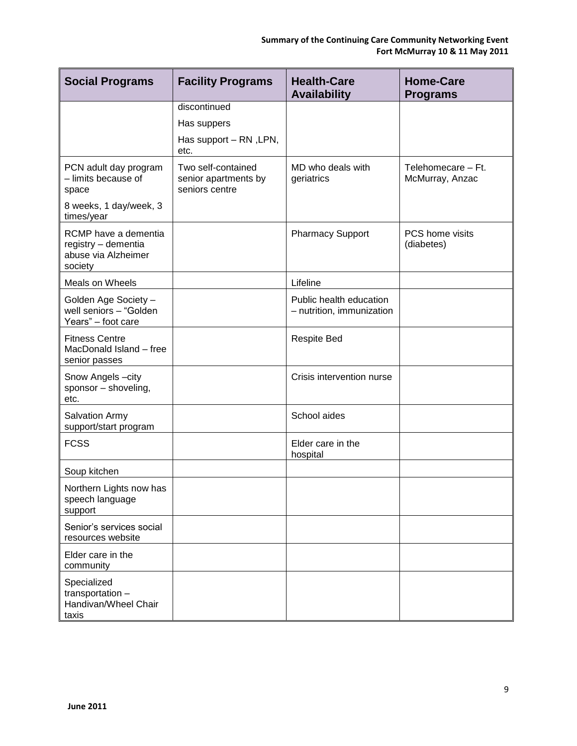| <b>Social Programs</b>                                                        | <b>Facility Programs</b>                                     | <b>Health-Care</b><br><b>Availability</b>            | <b>Home-Care</b><br><b>Programs</b>   |
|-------------------------------------------------------------------------------|--------------------------------------------------------------|------------------------------------------------------|---------------------------------------|
|                                                                               | discontinued                                                 |                                                      |                                       |
|                                                                               | Has suppers                                                  |                                                      |                                       |
|                                                                               | Has support - RN, LPN,<br>etc.                               |                                                      |                                       |
| PCN adult day program<br>- limits because of<br>space                         | Two self-contained<br>senior apartments by<br>seniors centre | MD who deals with<br>geriatrics                      | Telehomecare - Ft.<br>McMurray, Anzac |
| 8 weeks, 1 day/week, 3<br>times/year                                          |                                                              |                                                      |                                       |
| RCMP have a dementia<br>registry - dementia<br>abuse via Alzheimer<br>society |                                                              | <b>Pharmacy Support</b>                              | PCS home visits<br>(diabetes)         |
| Meals on Wheels                                                               |                                                              | Lifeline                                             |                                       |
| Golden Age Society -<br>well seniors - "Golden<br>Years" - foot care          |                                                              | Public health education<br>- nutrition, immunization |                                       |
| <b>Fitness Centre</b><br>MacDonald Island - free<br>senior passes             |                                                              | <b>Respite Bed</b>                                   |                                       |
| Snow Angels-city<br>sponsor - shoveling,<br>etc.                              |                                                              | Crisis intervention nurse                            |                                       |
| <b>Salvation Army</b><br>support/start program                                |                                                              | School aides                                         |                                       |
| <b>FCSS</b>                                                                   |                                                              | Elder care in the<br>hospital                        |                                       |
| Soup kitchen                                                                  |                                                              |                                                      |                                       |
| Northern Lights now has<br>speech language<br>support                         |                                                              |                                                      |                                       |
| Senior's services social<br>resources website                                 |                                                              |                                                      |                                       |
| Elder care in the<br>community                                                |                                                              |                                                      |                                       |
| Specialized<br>transportation -<br>Handivan/Wheel Chair<br>taxis              |                                                              |                                                      |                                       |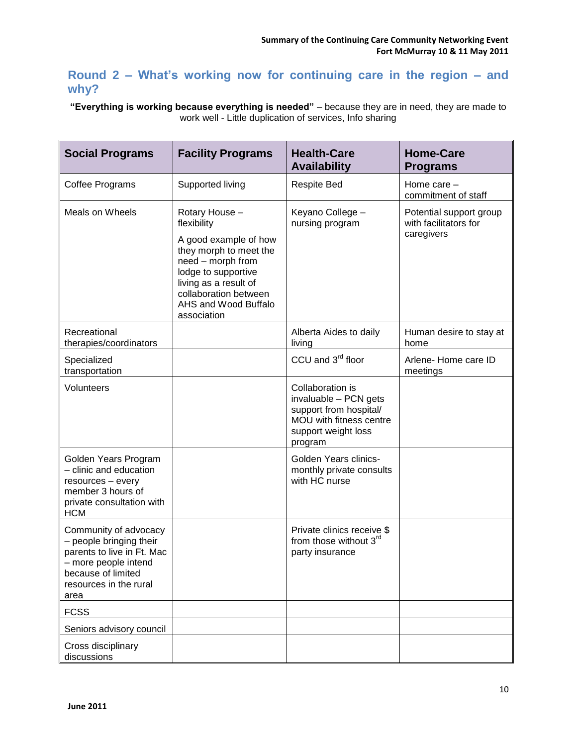## <span id="page-11-0"></span>**Round 2 – What's working now for continuing care in the region – and why?**

**"Everything is working because everything is needed"** – because they are in need, they are made to work well - Little duplication of services, Info sharing

| <b>Social Programs</b>                                                                                                                                         | <b>Facility Programs</b>                                                                                                                                                                                              | <b>Health-Care</b><br><b>Availability</b>                                                                                        | <b>Home-Care</b><br><b>Programs</b>                            |
|----------------------------------------------------------------------------------------------------------------------------------------------------------------|-----------------------------------------------------------------------------------------------------------------------------------------------------------------------------------------------------------------------|----------------------------------------------------------------------------------------------------------------------------------|----------------------------------------------------------------|
| Coffee Programs                                                                                                                                                | Supported living                                                                                                                                                                                                      | <b>Respite Bed</b>                                                                                                               | Home care -<br>commitment of staff                             |
| <b>Meals on Wheels</b>                                                                                                                                         | Rotary House -<br>flexibility<br>A good example of how<br>they morph to meet the<br>need - morph from<br>lodge to supportive<br>living as a result of<br>collaboration between<br>AHS and Wood Buffalo<br>association | Keyano College -<br>nursing program                                                                                              | Potential support group<br>with facilitators for<br>caregivers |
| Recreational<br>therapies/coordinators                                                                                                                         |                                                                                                                                                                                                                       | Alberta Aides to daily<br>living                                                                                                 | Human desire to stay at<br>home                                |
| Specialized<br>transportation                                                                                                                                  |                                                                                                                                                                                                                       | CCU and 3 <sup>rd</sup> floor                                                                                                    | Arlene-Home care ID<br>meetings                                |
| Volunteers                                                                                                                                                     |                                                                                                                                                                                                                       | Collaboration is<br>invaluable - PCN gets<br>support from hospital/<br>MOU with fitness centre<br>support weight loss<br>program |                                                                |
| Golden Years Program<br>- clinic and education<br>resources - every<br>member 3 hours of<br>private consultation with<br><b>HCM</b>                            |                                                                                                                                                                                                                       | Golden Years clinics-<br>monthly private consults<br>with HC nurse                                                               |                                                                |
| Community of advocacy<br>- people bringing their<br>parents to live in Ft. Mac<br>- more people intend<br>because of limited<br>resources in the rural<br>area |                                                                                                                                                                                                                       | Private clinics receive \$<br>from those without 3 <sup>rd</sup><br>party insurance                                              |                                                                |
| <b>FCSS</b>                                                                                                                                                    |                                                                                                                                                                                                                       |                                                                                                                                  |                                                                |
| Seniors advisory council                                                                                                                                       |                                                                                                                                                                                                                       |                                                                                                                                  |                                                                |
| Cross disciplinary<br>discussions                                                                                                                              |                                                                                                                                                                                                                       |                                                                                                                                  |                                                                |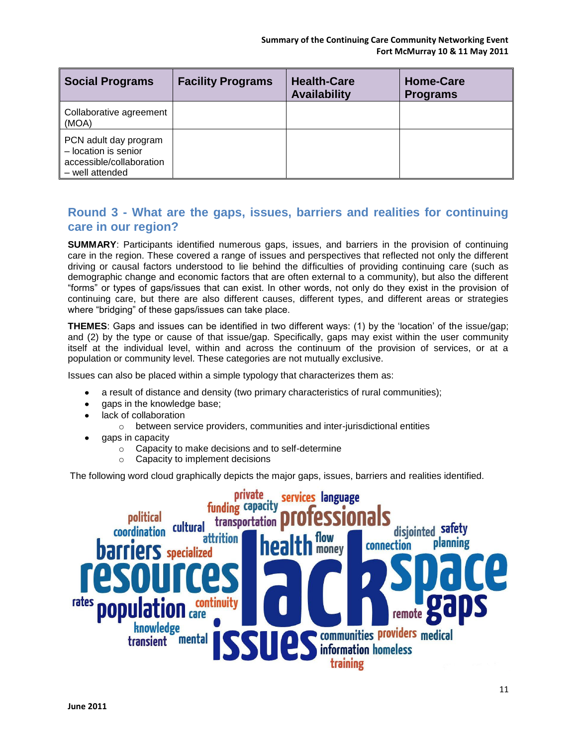| <b>Social Programs</b>                                                                       | <b>Facility Programs</b> | <b>Health-Care</b><br><b>Availability</b> | <b>Home-Care</b><br><b>Programs</b> |
|----------------------------------------------------------------------------------------------|--------------------------|-------------------------------------------|-------------------------------------|
| Collaborative agreement<br>(MOA)                                                             |                          |                                           |                                     |
| PCN adult day program<br>- location is senior<br>accessible/collaboration<br>- well attended |                          |                                           |                                     |

## <span id="page-12-0"></span>**Round 3 - What are the gaps, issues, barriers and realities for continuing care in our region?**

**SUMMARY**: Participants identified numerous gaps, issues, and barriers in the provision of continuing care in the region. These covered a range of issues and perspectives that reflected not only the different driving or causal factors understood to lie behind the difficulties of providing continuing care (such as demographic change and economic factors that are often external to a community), but also the different "forms" or types of gaps/issues that can exist. In other words, not only do they exist in the provision of continuing care, but there are also different causes, different types, and different areas or strategies where "bridging" of these gaps/issues can take place.

**THEMES**: Gaps and issues can be identified in two different ways: (1) by the "location" of the issue/gap; and (2) by the type or cause of that issue/gap. Specifically, gaps may exist within the user community itself at the individual level, within and across the continuum of the provision of services, or at a population or community level. These categories are not mutually exclusive.

Issues can also be placed within a simple typology that characterizes them as:

- a result of distance and density (two primary characteristics of rural communities);
- gaps in the knowledge base;
- lack of collaboration
	- o between service providers, communities and inter-jurisdictional entities
- gaps in capacity
	- o Capacity to make decisions and to self-determine
	- $\circ$  Capacity to implement decisions

The following word cloud graphically depicts the major gaps, issues, barriers and realities identified.

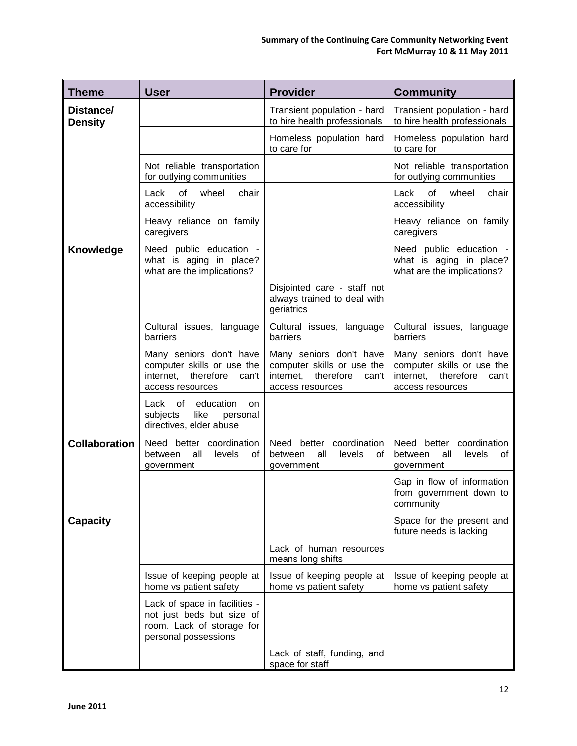| <b>Theme</b>                | <b>User</b>                                                                                                     | <b>Provider</b>                                                                                              | <b>Community</b>                                                                                          |
|-----------------------------|-----------------------------------------------------------------------------------------------------------------|--------------------------------------------------------------------------------------------------------------|-----------------------------------------------------------------------------------------------------------|
| Distance/<br><b>Density</b> |                                                                                                                 | Transient population - hard<br>to hire health professionals                                                  | Transient population - hard<br>to hire health professionals                                               |
|                             |                                                                                                                 | Homeless population hard<br>to care for                                                                      | Homeless population hard<br>to care for                                                                   |
|                             | Not reliable transportation<br>for outlying communities                                                         |                                                                                                              | Not reliable transportation<br>for outlying communities                                                   |
|                             | wheel<br>of<br>chair<br>Lack<br>accessibility                                                                   |                                                                                                              | Lack<br>of<br>wheel<br>chair<br>accessibility                                                             |
|                             | Heavy reliance on family<br>caregivers                                                                          |                                                                                                              | Heavy reliance on family<br>caregivers                                                                    |
| Knowledge                   | Need public education -<br>what is aging in place?<br>what are the implications?                                |                                                                                                              | Need public education -<br>what is aging in place?<br>what are the implications?                          |
|                             |                                                                                                                 | Disjointed care - staff not<br>always trained to deal with<br>geriatrics                                     |                                                                                                           |
|                             | Cultural issues, language<br>barriers                                                                           | Cultural issues, language<br>barriers                                                                        | Cultural issues, language<br>barriers                                                                     |
|                             | Many seniors don't have<br>computer skills or use the<br>internet, therefore<br>can't<br>access resources       | Many seniors don't have<br>computer skills or use the<br>therefore<br>internet,<br>can't<br>access resources | Many seniors don't have<br>computer skills or use the<br>internet, therefore<br>can't<br>access resources |
|                             | education<br>Lack of<br><b>on</b><br>subjects<br>like<br>personal<br>directives, elder abuse                    |                                                                                                              |                                                                                                           |
| <b>Collaboration</b>        | Need better coordination<br>all<br>levels<br>between<br>0f<br>government                                        | coordination<br>Need better<br>all<br>between<br>levels<br>οf<br>government                                  | better coordination<br>Need<br>all<br>between<br>levels<br>οf<br>government                               |
|                             |                                                                                                                 |                                                                                                              | Gap in flow of information<br>from government down to<br>community                                        |
| <b>Capacity</b>             |                                                                                                                 |                                                                                                              | Space for the present and<br>future needs is lacking                                                      |
|                             |                                                                                                                 | Lack of human resources<br>means long shifts                                                                 |                                                                                                           |
|                             | Issue of keeping people at<br>home vs patient safety                                                            | Issue of keeping people at<br>home vs patient safety                                                         | Issue of keeping people at<br>home vs patient safety                                                      |
|                             | Lack of space in facilities -<br>not just beds but size of<br>room. Lack of storage for<br>personal possessions |                                                                                                              |                                                                                                           |
|                             |                                                                                                                 | Lack of staff, funding, and<br>space for staff                                                               |                                                                                                           |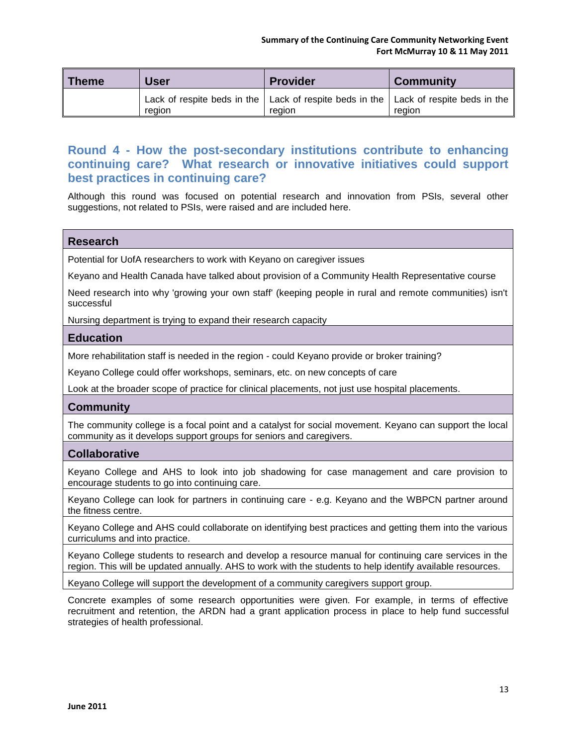| <b>Theme</b> | <b>User</b> | <b>Provider</b>                                                                                               | <b>Community</b> |
|--------------|-------------|---------------------------------------------------------------------------------------------------------------|------------------|
|              | region      | Lack of respite beds in the $\vert$ Lack of respite beds in the $\vert$ Lack of respite beds in the<br>region | reaion           |

### <span id="page-14-0"></span>**Round 4 - How the post-secondary institutions contribute to enhancing continuing care? What research or innovative initiatives could support best practices in continuing care?**

Although this round was focused on potential research and innovation from PSIs, several other suggestions, not related to PSIs, were raised and are included here.

#### **Research**

Potential for UofA researchers to work with Keyano on caregiver issues

Keyano and Health Canada have talked about provision of a Community Health Representative course

Need research into why 'growing your own staff' (keeping people in rural and remote communities) isn't successful

Nursing department is trying to expand their research capacity

#### **Education**

More rehabilitation staff is needed in the region - could Keyano provide or broker training?

Keyano College could offer workshops, seminars, etc. on new concepts of care

Look at the broader scope of practice for clinical placements, not just use hospital placements.

#### **Community**

The community college is a focal point and a catalyst for social movement. Keyano can support the local community as it develops support groups for seniors and caregivers.

#### **Collaborative**

Keyano College and AHS to look into job shadowing for case management and care provision to encourage students to go into continuing care.

Keyano College can look for partners in continuing care - e.g. Keyano and the WBPCN partner around the fitness centre.

Keyano College and AHS could collaborate on identifying best practices and getting them into the various curriculums and into practice.

Keyano College students to research and develop a resource manual for continuing care services in the region. This will be updated annually. AHS to work with the students to help identify available resources.

Keyano College will support the development of a community caregivers support group.

Concrete examples of some research opportunities were given. For example, in terms of effective recruitment and retention, the ARDN had a grant application process in place to help fund successful strategies of health professional.